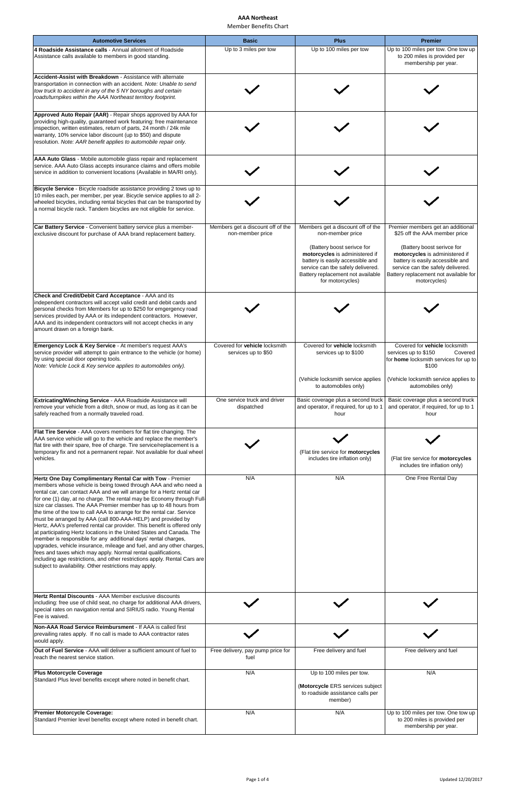| <b>Automotive Services</b>                                                                                                                                                                                                                                                                                                                                                                                                                                                                                                                                                                                                                                                                                                                                                                                                                                                                                                                                                                            | <b>Basic</b>                                          | <b>Plus</b>                                                                                                                                                                                    | <b>Premier</b>                                                                                                                                                                                 |
|-------------------------------------------------------------------------------------------------------------------------------------------------------------------------------------------------------------------------------------------------------------------------------------------------------------------------------------------------------------------------------------------------------------------------------------------------------------------------------------------------------------------------------------------------------------------------------------------------------------------------------------------------------------------------------------------------------------------------------------------------------------------------------------------------------------------------------------------------------------------------------------------------------------------------------------------------------------------------------------------------------|-------------------------------------------------------|------------------------------------------------------------------------------------------------------------------------------------------------------------------------------------------------|------------------------------------------------------------------------------------------------------------------------------------------------------------------------------------------------|
| 4 Roadside Assistance calls - Annual allotment of Roadside<br>Assistance calls available to members in good standing.                                                                                                                                                                                                                                                                                                                                                                                                                                                                                                                                                                                                                                                                                                                                                                                                                                                                                 | Up to 3 miles per tow                                 | Up to 100 miles per tow                                                                                                                                                                        | Up to 100 miles per tow. One tow up<br>to 200 miles is provided per<br>membership per year.                                                                                                    |
| Accident-Assist with Breakdown - Assistance with alternate<br>transportation in connection with an accident. Note: Unable to send<br>tow truck to accident in any of the 5 NY boroughs and certain<br>roads/turnpikes within the AAA Northeast territory footprint.                                                                                                                                                                                                                                                                                                                                                                                                                                                                                                                                                                                                                                                                                                                                   |                                                       |                                                                                                                                                                                                |                                                                                                                                                                                                |
| Approved Auto Repair (AAR) - Repair shops approved by AAA for<br>providing high-quality, guaranteed work featuring: free maintenance<br>inspection, written estimates, return of parts, 24 month / 24k mile<br>warranty, 10% service labor discount (up to \$50) and dispute<br>resolution. Note: AAR benefit applies to automobile repair only.                                                                                                                                                                                                                                                                                                                                                                                                                                                                                                                                                                                                                                                      |                                                       |                                                                                                                                                                                                |                                                                                                                                                                                                |
| AAA Auto Glass - Mobile automobile glass repair and replacement<br>service. AAA Auto Glass accepts insurance claims and offers mobile<br>service in addition to convenient locations (Available in MA/RI only).                                                                                                                                                                                                                                                                                                                                                                                                                                                                                                                                                                                                                                                                                                                                                                                       |                                                       |                                                                                                                                                                                                |                                                                                                                                                                                                |
| Bicycle Service - Bicycle roadside assistance providing 2 tows up to<br>10 miles each, per member, per year. Bicycle service applies to all 2-<br>wheeled bicycles, including rental bicycles that can be transported by<br>a normal bicycle rack. Tandem bicycles are not eligible for service.                                                                                                                                                                                                                                                                                                                                                                                                                                                                                                                                                                                                                                                                                                      |                                                       |                                                                                                                                                                                                |                                                                                                                                                                                                |
| Car Battery Service - Convenient battery service plus a member-<br>exclusive discount for purchase of AAA brand replacement battery.                                                                                                                                                                                                                                                                                                                                                                                                                                                                                                                                                                                                                                                                                                                                                                                                                                                                  | Members get a discount off of the<br>non-member price | Members get a discount off of the<br>non-member price                                                                                                                                          | Premier members get an additional<br>\$25 off the AAA member price                                                                                                                             |
|                                                                                                                                                                                                                                                                                                                                                                                                                                                                                                                                                                                                                                                                                                                                                                                                                                                                                                                                                                                                       |                                                       | (Battery boost serivce for<br>motorcycles is administered if<br>battery is easily accessible and<br>service can tbe safely delivered.<br>Battery replacement not available<br>for motorcycles) | (Battery boost serivce for<br>motorcycles is administered if<br>battery is easily accessible and<br>service can tbe safely delivered.<br>Battery replacement not available for<br>motorcycles) |
| Check and Credit/Debit Card Acceptance - AAA and its<br>independent contractors will accept valid credit and debit cards and<br>personal checks from Members for up to \$250 for emgergency road<br>services provided by AAA or its independent contractors. However,<br>AAA and its independent contractors will not accept checks in any<br>amount drawn on a foreign bank.                                                                                                                                                                                                                                                                                                                                                                                                                                                                                                                                                                                                                         |                                                       |                                                                                                                                                                                                |                                                                                                                                                                                                |
| Emergency Lock & Key Service - At member's request AAA's<br>service provider will attempt to gain entrance to the vehicle (or home)<br>by using special door opening tools.<br>Note: Vehicle Lock & Key service applies to automobiles only).                                                                                                                                                                                                                                                                                                                                                                                                                                                                                                                                                                                                                                                                                                                                                         | Covered for vehicle locksmith<br>services up to \$50  | Covered for vehicle locksmith<br>services up to \$100                                                                                                                                          | Covered for vehicle locksmith<br>services up to \$150<br>Covered<br>for home locksmith services for up to<br>\$100                                                                             |
|                                                                                                                                                                                                                                                                                                                                                                                                                                                                                                                                                                                                                                                                                                                                                                                                                                                                                                                                                                                                       |                                                       | (Vehicle locksmith service applies<br>to automobiles only)                                                                                                                                     | (Vehicle locksmith service applies to<br>automobiles only)                                                                                                                                     |
| Extricating/Winching Service - AAA Roadside Assistance will<br>remove your vehicle from a ditch, snow or mud, as long as it can be<br>safely reached from a normally traveled road.                                                                                                                                                                                                                                                                                                                                                                                                                                                                                                                                                                                                                                                                                                                                                                                                                   | One service truck and driver<br>dispatched            | Basic coverage plus a second truck<br>and operator, if required, for up to 1<br>hour                                                                                                           | Basic coverage plus a second truck<br>and operator, if required, for up to 1<br>hour                                                                                                           |
| Flat Tire Service - AAA covers members for flat tire changing. The<br>AAA service vehicle will go to the vehicle and replace the member's                                                                                                                                                                                                                                                                                                                                                                                                                                                                                                                                                                                                                                                                                                                                                                                                                                                             |                                                       |                                                                                                                                                                                                |                                                                                                                                                                                                |
| flat tire with their spare, free of charge. Tire service/replacement is a<br>temporary fix and not a permanent repair. Not available for dual wheel<br>vehicles.                                                                                                                                                                                                                                                                                                                                                                                                                                                                                                                                                                                                                                                                                                                                                                                                                                      |                                                       | (Flat tire service for <b>motorcycles</b><br>includes tire inflation only)                                                                                                                     | (Flat tire service for motorcycles<br>includes tire inflation only)                                                                                                                            |
| Hertz One Day Complimentary Rental Car with Tow - Premier<br>members whose vehicle is being towed through AAA and who need a<br>rental car, can contact AAA and we will arrange for a Hertz rental car<br>for one (1) day, at no charge. The rental may be Economy through Full-<br>size car classes. The AAA Premier member has up to 48 hours from<br>the time of the tow to call AAA to arrange for the rental car. Service<br>must be arranged by AAA (call 800-AAA-HELP) and provided by<br>Hertz, AAA's preferred rental car provider. This benefit is offered only<br>at participating Hertz locations in the United States and Canada. The<br>member is responsible for any additional days' rental charges,<br>upgrades, vehicle insurance, mileage and fuel, and any other charges,<br>fees and taxes which may apply. Normal rental qualifications,<br>including age restrictions, and other restrictions apply. Rental Cars are<br>subject to availability. Other restrictions may apply. | N/A                                                   | N/A                                                                                                                                                                                            | One Free Rental Day                                                                                                                                                                            |

| <b>Hertz Rental Discounts - AAA Member exclusive discounts</b><br>including: free use of child seat, no charge for additional AAA drivers,<br>special rates on navigation rental and SIRIUS radio. Young Rental<br>lFee is waived. |                                           |                                                                                                             |                                                                                             |
|------------------------------------------------------------------------------------------------------------------------------------------------------------------------------------------------------------------------------------|-------------------------------------------|-------------------------------------------------------------------------------------------------------------|---------------------------------------------------------------------------------------------|
| Non-AAA Road Service Reimbursment - If AAA is called first<br>prevailing rates apply. If no call is made to AAA contractor rates<br>would apply.                                                                                   |                                           |                                                                                                             |                                                                                             |
| <b>Out of Fuel Service - AAA will deliver a sufficient amount of fuel to</b><br>Ireach the nearest service station.                                                                                                                | Free delivery, pay pump price for<br>fuel | Free delivery and fuel                                                                                      | Free delivery and fuel                                                                      |
| <b>Plus Motorcycle Coverage</b><br>Standard Plus level benefits except where noted in benefit chart.                                                                                                                               | N/A                                       | Up to 100 miles per tow.<br>(Motorcycle ERS services subject<br>to roadside assistance calls per<br>member) | N/A                                                                                         |
| Premier Motorcycle Coverage:<br>Standard Premier level benefits except where noted in benefit chart.                                                                                                                               | N/A                                       | N/A                                                                                                         | Up to 100 miles per tow. One tow up<br>to 200 miles is provided per<br>membership per year. |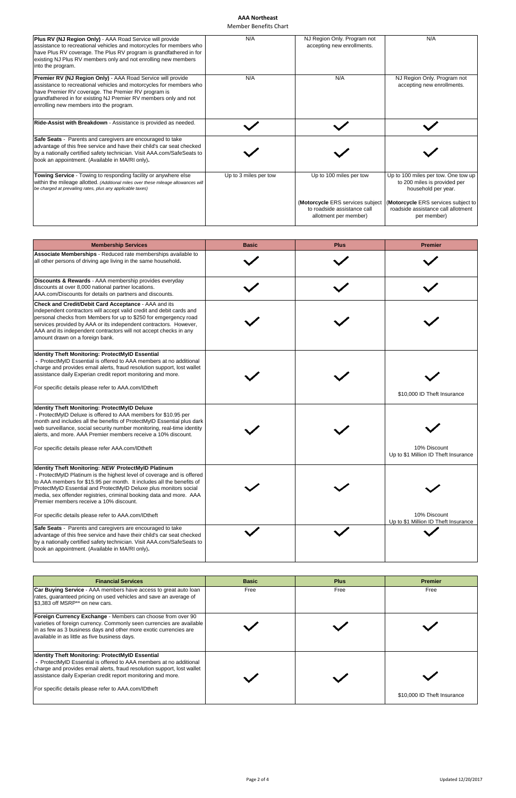| Plus RV (NJ Region Only) - AAA Road Service will provide<br>assistance to recreational vehicles and motorcycles for members who<br>have Plus RV coverage. The Plus RV program is grandfathered in for<br>existing NJ Plus RV members only and not enrolling new members<br>into the program.             | N/A                   | NJ Region Only. Program not<br>accepting new enrollments.                                | N/A                                                                                        |
|----------------------------------------------------------------------------------------------------------------------------------------------------------------------------------------------------------------------------------------------------------------------------------------------------------|-----------------------|------------------------------------------------------------------------------------------|--------------------------------------------------------------------------------------------|
| Premier RV (NJ Region Only) - AAA Road Service will provide<br>assistance to recreational vehicles and motorcycles for members who<br>have Premier RV coverage. The Premier RV program is<br>grandfathered in for existing NJ Premier RV members only and not<br>enrolling new members into the program. | N/A                   | N/A                                                                                      | NJ Region Only. Program not<br>accepting new enrollments.                                  |
| Ride-Assist with Breakdown - Assistance is provided as needed.                                                                                                                                                                                                                                           |                       |                                                                                          |                                                                                            |
| Safe Seats - Parents and caregivers are encouraged to take<br>advantage of this free service and have their child's car seat checked<br>by a nationally certified safety technician. Visit AAA.com/SafeSeats to<br>book an appointment. (Available in MA/RI only).                                       |                       |                                                                                          |                                                                                            |
| Towing Service - Towing to responding facility or anywhere else<br>within the mileage allotted. (Additional miles over these mileage allowances will<br>be charged at prevailing rates, plus any applicable taxes)                                                                                       | Up to 3 miles per tow | Up to 100 miles per tow                                                                  | Up to 100 miles per tow. One tow up<br>to 200 miles is provided per<br>household per year. |
|                                                                                                                                                                                                                                                                                                          |                       | (Motorcycle ERS services subject<br>to roadside assistance call<br>allotment per member) | Motorcycle ERS services subject to<br>roadside assistance call allotment<br>per member)    |

| <b>Membership Services</b>                                                                                                                                                                                                                                                                                                                                                                                                                            | <b>Basic</b> | <b>Plus</b> | <b>Premier</b>                                       |
|-------------------------------------------------------------------------------------------------------------------------------------------------------------------------------------------------------------------------------------------------------------------------------------------------------------------------------------------------------------------------------------------------------------------------------------------------------|--------------|-------------|------------------------------------------------------|
| Associate Memberships - Reduced rate memberships available to<br>all other persons of driving age living in the same household.                                                                                                                                                                                                                                                                                                                       |              |             |                                                      |
| Discounts & Rewards - AAA membership provides everyday<br>discounts at over 8,000 national partner locations.<br>AAA.com/Discounts for details on partners and discounts.                                                                                                                                                                                                                                                                             |              |             |                                                      |
| Check and Credit/Debit Card Acceptance - AAA and its<br>independent contractors will accept valid credit and debit cards and<br>personal checks from Members for up to \$250 for emgergency road<br>services provided by AAA or its independent contractors. However,<br>AAA and its independent contractors will not accept checks in any<br>amount drawn on a foreign bank.                                                                         |              |             |                                                      |
| <b>Identity Theft Monitoring: ProtectMyID Essential</b><br>- ProtectMyID Essential is offered to AAA members at no additional<br>charge and provides email alerts, fraud resolution support, lost wallet<br>assistance daily Experian credit report monitoring and more.<br>For specific details please refer to AAA.com/IDtheft                                                                                                                      |              |             | \$10,000 ID Theft Insurance                          |
| <b>Identity Theft Monitoring: ProtectMyID Deluxe</b><br>- ProtectMyID Deluxe is offered to AAA members for \$10.95 per<br>month and includes all the benefits of ProtectMyID Essential plus dark<br>web surveillance, social security number monitoring, real-time identity<br>alerts, and more. AAA Premier members receive a 10% discount.<br>For specific details please refer AAA.com/IDtheft                                                     |              |             | 10% Discount<br>Up to \$1 Million ID Theft Insurance |
| Identity Theft Monitoring: NEW ProtectMyID Platinum<br>- ProtectMyID Platinum is the highest level of coverage and is offered<br>to AAA members for \$15.95 per month. It includes all the benefits of<br>ProtectMyID Essential and ProtectMyID Deluxe plus monitors social<br>media, sex offender registries, criminal booking data and more. AAA<br>Premier members receive a 10% discount.<br>For specific details please refer to AAA.com/IDtheft |              |             | 10% Discount                                         |
| Safe Seats - Parents and caregivers are encouraged to take<br>advantage of this free service and have their child's car seat checked<br>by a nationally certified safety technician. Visit AAA.com/SafeSeats to<br>book an appointment. (Available in MA/RI only).                                                                                                                                                                                    |              |             | Up to \$1 Million ID Theft Insurance                 |

| Financial Services | <b>Basic</b><br>$\mathcal{L}^{\text{max}}_{\text{max}}$ and $\mathcal{L}^{\text{max}}_{\text{max}}$ and $\mathcal{L}^{\text{max}}_{\text{max}}$ and $\mathcal{L}^{\text{max}}_{\text{max}}$ | <b>Plus</b> | Premier |
|--------------------|---------------------------------------------------------------------------------------------------------------------------------------------------------------------------------------------|-------------|---------|
|                    |                                                                                                                                                                                             |             |         |

| <b>Car Buying Service</b> - AAA members have access to great auto loan<br>rates, guaranteed pricing on used vehicles and save an average of<br>\$3,383 off MSRP** on new cars.                                                                                                                                                   | Free | Free | Free                        |
|----------------------------------------------------------------------------------------------------------------------------------------------------------------------------------------------------------------------------------------------------------------------------------------------------------------------------------|------|------|-----------------------------|
| <b>Foreign Currency Exchange - Members can choose from over 90</b><br>varieties of foreign currency. Commonly seen currencies are available<br>in as few as 3 business days and other more exotic currencies are<br>available in as little as five business days.                                                                |      |      |                             |
| <b>Identity Theft Monitoring: ProtectMyID Essential</b><br>- ProtectMyID Essential is offered to AAA members at no additional<br>charge and provides email alerts, fraud resolution support, lost wallet<br>assistance daily Experian credit report monitoring and more.<br>For specific details please refer to AAA.com/IDtheft |      |      | \$10,000 ID Theft Insurance |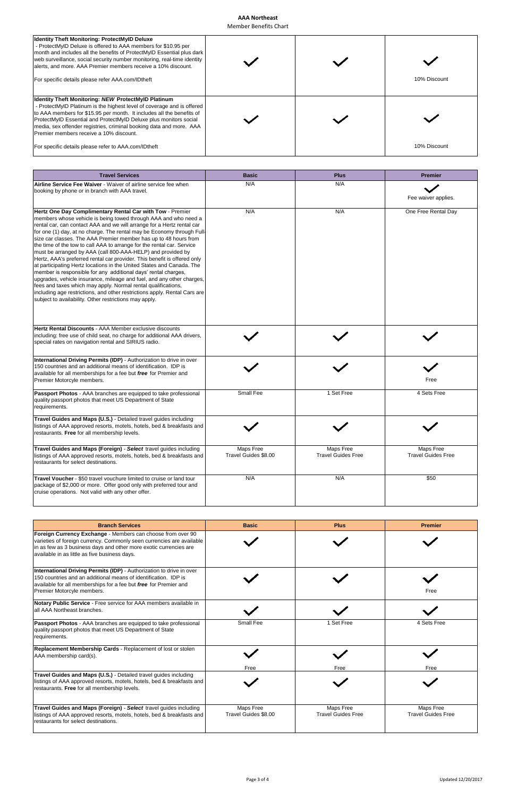| <b>Identity Theft Monitoring: ProtectMyID Deluxe</b><br>- ProtectMyID Deluxe is offered to AAA members for \$10.95 per<br>month and includes all the benefits of ProtectMyID Essential plus dark<br>web surveillance, social security number monitoring, real-time identity<br>alerts, and more. AAA Premier members receive a 10% discount.<br>For specific details please refer AAA.com/IDtheft    |  | 10% Discount |
|------------------------------------------------------------------------------------------------------------------------------------------------------------------------------------------------------------------------------------------------------------------------------------------------------------------------------------------------------------------------------------------------------|--|--------------|
| <b>Identity Theft Monitoring: NEW ProtectMyID Platinum</b><br>- ProtectMyID Platinum is the highest level of coverage and is offered<br>to AAA members for \$15.95 per month. It includes all the benefits of<br>ProtectMyID Essential and ProtectMyID Deluxe plus monitors social<br>media, sex offender registries, criminal booking data and more. AAA<br>Premier members receive a 10% discount. |  |              |
| For specific details please refer to AAA.com/IDtheft                                                                                                                                                                                                                                                                                                                                                 |  | 10% Discount |

| <b>Travel Services</b>                                                                                                                                                                                                                                                                                                                                                                                                                                                                                                                                                                                                                                                                                                                                                                                                                                                                                                                                                                                | <b>Basic</b>                      | <b>Plus</b>                            | <b>Premier</b>                         |
|-------------------------------------------------------------------------------------------------------------------------------------------------------------------------------------------------------------------------------------------------------------------------------------------------------------------------------------------------------------------------------------------------------------------------------------------------------------------------------------------------------------------------------------------------------------------------------------------------------------------------------------------------------------------------------------------------------------------------------------------------------------------------------------------------------------------------------------------------------------------------------------------------------------------------------------------------------------------------------------------------------|-----------------------------------|----------------------------------------|----------------------------------------|
| Airline Service Fee Waiver - Waiver of airline service fee when<br>booking by phone or in branch with AAA travel.                                                                                                                                                                                                                                                                                                                                                                                                                                                                                                                                                                                                                                                                                                                                                                                                                                                                                     | N/A                               | N/A                                    | Fee waiver applies.                    |
| Hertz One Day Complimentary Rental Car with Tow - Premier<br>members whose vehicle is being towed through AAA and who need a<br>rental car, can contact AAA and we will arrange for a Hertz rental car<br>for one (1) day, at no charge. The rental may be Economy through Full-<br>size car classes. The AAA Premier member has up to 48 hours from<br>the time of the tow to call AAA to arrange for the rental car. Service<br>must be arranged by AAA (call 800-AAA-HELP) and provided by<br>Hertz, AAA's preferred rental car provider. This benefit is offered only<br>at participating Hertz locations in the United States and Canada. The<br>member is responsible for any additional days' rental charges,<br>upgrades, vehicle insurance, mileage and fuel, and any other charges,<br>fees and taxes which may apply. Normal rental qualifications,<br>including age restrictions, and other restrictions apply. Rental Cars are<br>subject to availability. Other restrictions may apply. | N/A                               | N/A                                    | One Free Rental Day                    |
| Hertz Rental Discounts - AAA Member exclusive discounts<br>including: free use of child seat, no charge for additional AAA drivers,<br>special rates on navigation rental and SIRIUS radio.                                                                                                                                                                                                                                                                                                                                                                                                                                                                                                                                                                                                                                                                                                                                                                                                           |                                   |                                        |                                        |
| International Driving Permits (IDP) - Authorization to drive in over<br>150 countries and an additional means of identification. IDP is<br>available for all memberships for a fee but free for Premier and<br>Premier Motorcyle members.                                                                                                                                                                                                                                                                                                                                                                                                                                                                                                                                                                                                                                                                                                                                                             |                                   |                                        | Free                                   |
| <b>Passport Photos</b> - AAA branches are equipped to take professional<br>quality passport photos that meet US Department of State<br>requirements.                                                                                                                                                                                                                                                                                                                                                                                                                                                                                                                                                                                                                                                                                                                                                                                                                                                  | Small Fee                         | 1 Set Free                             | 4 Sets Free                            |
| Travel Guides and Maps (U.S.) - Detailed travel guides including<br>listings of AAA approved resorts, motels, hotels, bed & breakfasts and<br>restaurants. Free for all membership levels.                                                                                                                                                                                                                                                                                                                                                                                                                                                                                                                                                                                                                                                                                                                                                                                                            |                                   |                                        |                                        |
| Travel Guides and Maps (Foreign) - Select travel guides including<br>listings of AAA approved resorts, motels, hotels, bed & breakfasts and<br>restaurants for select destinations.                                                                                                                                                                                                                                                                                                                                                                                                                                                                                                                                                                                                                                                                                                                                                                                                                   | Maps Free<br>Travel Guides \$8.00 | Maps Free<br><b>Travel Guides Free</b> | Maps Free<br><b>Travel Guides Free</b> |
| Travel Voucher - \$50 travel vouchure limited to cruise or land tour<br>package of \$2,000 or more. Offer good only with preferred tour and<br>cruise operations. Not valid with any other offer.                                                                                                                                                                                                                                                                                                                                                                                                                                                                                                                                                                                                                                                                                                                                                                                                     | N/A                               | N/A                                    | \$50                                   |

| <b>Branch Services</b>                                                                                                                                                                                                                                     | <b>Basic</b>                      | <b>Plus</b>                            | <b>Premier</b>                         |
|------------------------------------------------------------------------------------------------------------------------------------------------------------------------------------------------------------------------------------------------------------|-----------------------------------|----------------------------------------|----------------------------------------|
| Foreign Currency Exchange - Members can choose from over 90<br>varieties of foreign currency. Commonly seen currencies are available<br>in as few as 3 business days and other more exotic currencies are<br>available in as little as five business days. |                                   |                                        |                                        |
| International Driving Permits (IDP) - Authorization to drive in over<br>150 countries and an additional means of identification. IDP is<br>available for all memberships for a fee but free for Premier and<br>Premier Motorcyle members.                  |                                   |                                        | Free                                   |
| Notary Public Service - Free service for AAA members available in<br>all AAA Northeast branches.                                                                                                                                                           |                                   |                                        |                                        |
| Passport Photos - AAA branches are equipped to take professional<br>quality passport photos that meet US Department of State<br>requirements.                                                                                                              | Small Fee                         | 1 Set Free                             | 4 Sets Free                            |
| Replacement Membership Cards - Replacement of lost or stolen<br>AAA membership card(s).                                                                                                                                                                    | Free                              | Free                                   | Free                                   |
| Travel Guides and Maps (U.S.) - Detailed travel guides including<br>listings of AAA approved resorts, motels, hotels, bed & breakfasts and<br>restaurants. Free for all membership levels.                                                                 |                                   |                                        |                                        |
| Travel Guides and Maps (Foreign) - Select travel guides including<br>listings of AAA approved resorts, motels, hotels, bed & breakfasts and<br>restaurants for select destinations.                                                                        | Maps Free<br>Travel Guides \$8.00 | Maps Free<br><b>Travel Guides Free</b> | Maps Free<br><b>Travel Guides Free</b> |